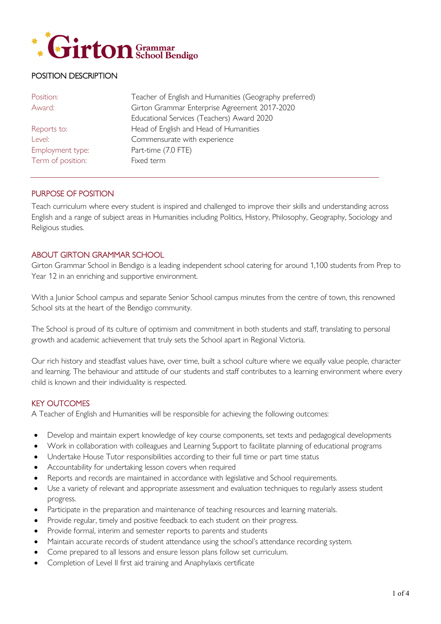

# POSITION DESCRIPTION

| Position:         | Teacher of English and Humanities (Geography preferred) |
|-------------------|---------------------------------------------------------|
| Award:            | Girton Grammar Enterprise Agreement 2017-2020           |
|                   | Educational Services (Teachers) Award 2020              |
| Reports to:       | Head of English and Head of Humanities                  |
| Level:            | Commensurate with experience                            |
| Employment type:  | Part-time (7.0 FTE)                                     |
| Term of position: | Fixed term                                              |
|                   |                                                         |

### PURPOSE OF POSITION

Teach curriculum where every student is inspired and challenged to improve their skills and understanding across English and a range of subject areas in Humanities including Politics, History, Philosophy, Geography, Sociology and Religious studies.

### ABOUT GIRTON GRAMMAR SCHOOL

Girton Grammar School in Bendigo is a leading independent school catering for around 1,100 students from Prep to Year 12 in an enriching and supportive environment.

With a Junior School campus and separate Senior School campus minutes from the centre of town, this renowned School sits at the heart of the Bendigo community.

The School is proud of its culture of optimism and commitment in both students and staff, translating to personal growth and academic achievement that truly sets the School apart in Regional Victoria.

Our rich history and steadfast values have, over time, built a school culture where we equally value people, character and learning. The behaviour and attitude of our students and staff contributes to a learning environment where every child is known and their individuality is respected.

#### KEY OUTCOMES

A Teacher of English and Humanities will be responsible for achieving the following outcomes:

- Develop and maintain expert knowledge of key course components, set texts and pedagogical developments
- Work in collaboration with colleagues and Learning Support to facilitate planning of educational programs
- Undertake House Tutor responsibilities according to their full time or part time status
- Accountability for undertaking lesson covers when required
- Reports and records are maintained in accordance with legislative and School requirements.
- Use a variety of relevant and appropriate assessment and evaluation techniques to regularly assess student progress.
- Participate in the preparation and maintenance of teaching resources and learning materials.
- Provide regular, timely and positive feedback to each student on their progress.
- Provide formal, interim and semester reports to parents and students
- Maintain accurate records of student attendance using the school's attendance recording system.
- Come prepared to all lessons and ensure lesson plans follow set curriculum.
- Completion of Level II first aid training and Anaphylaxis certificate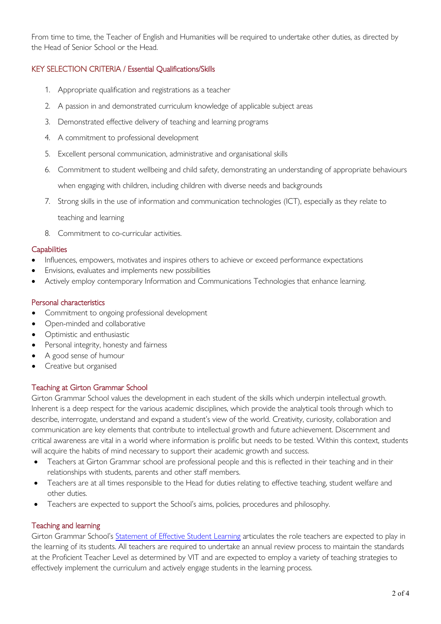From time to time, the Teacher of English and Humanities will be required to undertake other duties, as directed by the Head of Senior School or the Head.

# KEY SELECTION CRITERIA / Essential Qualifications/Skills

- 1. Appropriate qualification and registrations as a teacher
- 2. A passion in and demonstrated curriculum knowledge of applicable subject areas
- 3. Demonstrated effective delivery of teaching and learning programs
- 4. A commitment to professional development
- 5. Excellent personal communication, administrative and organisational skills
- 6. Commitment to student wellbeing and child safety, demonstrating an understanding of appropriate behaviours when engaging with children, including children with diverse needs and backgrounds
- 7. Strong skills in the use of information and communication technologies (ICT), especially as they relate to teaching and learning
- 8. Commitment to co-curricular activities.

#### **Capabilities**

- Influences, empowers, motivates and inspires others to achieve or exceed performance expectations
- Envisions, evaluates and implements new possibilities
- Actively employ contemporary Information and Communications Technologies that enhance learning.

#### Personal characteristics

- Commitment to ongoing professional development
- Open-minded and collaborative
- Optimistic and enthusiastic
- Personal integrity, honesty and fairness
- A good sense of humour
- Creative but organised

### Teaching at Girton Grammar School

Girton Grammar School values the development in each student of the skills which underpin intellectual growth. Inherent is a deep respect for the various academic disciplines, which provide the analytical tools through which to describe, interrogate, understand and expand a student's view of the world. Creativity, curiosity, collaboration and communication are key elements that contribute to intellectual growth and future achievement. Discernment and critical awareness are vital in a world where information is prolific but needs to be tested. Within this context, students will acquire the habits of mind necessary to support their academic growth and success.

- Teachers at Girton Grammar school are professional people and this is reflected in their teaching and in their relationships with students, parents and other staff members.
- Teachers are at all times responsible to the Head for duties relating to effective teaching, student welfare and other duties.
- Teachers are expected to support the School's aims, policies, procedures and philosophy.

### Teaching and learning

Girton Grammar School's [Statement of Effective Student Learning](https://www.girton.vic.edu.au/images/documents/GGS-Statement-of-Effective-Learning-A3-SPREADS-2015.pdf) articulates the role teachers are expected to play in the learning of its students. All teachers are required to undertake an annual review process to maintain the standards at the Proficient Teacher Level as determined by VIT and are expected to employ a variety of teaching strategies to effectively implement the curriculum and actively engage students in the learning process.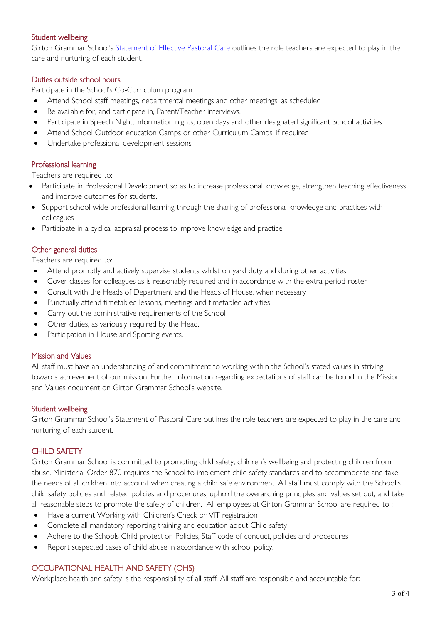#### Student wellbeing

Girton Grammar School's [Statement of Effective Pastoral Care](https://www.girton.vic.edu.au/images/documents/GGS-Statement-of-Effective-Pastoral-Care.pdf) outlines the role teachers are expected to play in the care and nurturing of each student.

#### Duties outside school hours

Participate in the School's Co-Curriculum program.

- Attend School staff meetings, departmental meetings and other meetings, as scheduled
- Be available for, and participate in, Parent/Teacher interviews.
- Participate in Speech Night, information nights, open days and other designated significant School activities
- Attend School Outdoor education Camps or other Curriculum Camps, if required
- Undertake professional development sessions

### Professional learning

Teachers are required to:

- Participate in Professional Development so as to increase professional knowledge, strengthen teaching effectiveness and improve outcomes for students.
- Support school-wide professional learning through the sharing of professional knowledge and practices with colleagues
- Participate in a cyclical appraisal process to improve knowledge and practice.

#### Other general duties

Teachers are required to:

- Attend promptly and actively supervise students whilst on yard duty and during other activities
- Cover classes for colleagues as is reasonably required and in accordance with the extra period roster
- Consult with the Heads of Department and the Heads of House, when necessary
- Punctually attend timetabled lessons, meetings and timetabled activities
- Carry out the administrative requirements of the School
- Other duties, as variously required by the Head.
- Participation in House and Sporting events.

#### Mission and Values

All staff must have an understanding of and commitment to working within the School's stated values in striving towards achievement of our mission. Further information regarding expectations of staff can be found in the Mission and Values document on Girton Grammar School's website.

#### Student wellbeing

Girton Grammar School's Statement of Pastoral Care outlines the role teachers are expected to play in the care and nurturing of each student.

### CHILD SAFFTY

Girton Grammar School is committed to promoting child safety, children's wellbeing and protecting children from abuse. Ministerial Order 870 requires the School to implement child safety standards and to accommodate and take the needs of all children into account when creating a child safe environment. All staff must comply with the School's child safety policies and related policies and procedures, uphold the overarching principles and values set out, and take all reasonable steps to promote the safety of children. All employees at Girton Grammar School are required to :

- Have a current Working with Children's Check or VIT registration
- Complete all mandatory reporting training and education about Child safety
- Adhere to the Schools Child protection Policies, Staff code of conduct, policies and procedures
- Report suspected cases of child abuse in accordance with school policy.

### OCCUPATIONAL HEALTH AND SAFETY (OHS)

Workplace health and safety is the responsibility of all staff. All staff are responsible and accountable for: